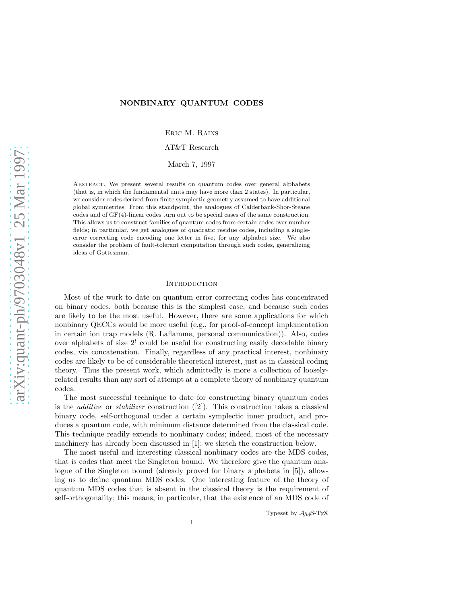# NONBINARY QUANTUM CODES

Eric M. Rains

AT&T Research

March 7, 1997

ABSTRACT. We present several results on quantum codes over general alphabets (that is, in which the fundamental units may have more than 2 states). In particular, we consider codes derived from finite symplectic geometry assumed to have additional global symmetries. From this standpoint, the analogues of Calderbank-Shor-Steane codes and of GF(4)-linear codes turn out to be special cases of the same construction. This allows us to construct families of quantum codes from certain codes over number fields; in particular, we get analogues of quadratic residue codes, including a singleerror correcting code encoding one letter in five, for any alphabet size. We also consider the problem of fault-tolerant computation through such codes, generalizing ideas of Gottesman.

### **INTRODUCTION**

Most of the work to date on quantum error correcting codes has concentrated on binary codes, both because this is the simplest case, and because such codes are likely to be the most useful. However, there are some applications for which nonbinary QECCs would be more useful (e.g., for proof-of-concept implementation in certain ion trap models (R. Laflamme, personal communication)). Also, codes over alphabets of size  $2^l$  could be useful for constructing easily decodable binary codes, via concatenation. Finally, regardless of any practical interest, nonbinary codes are likely to be of considerable theoretical interest, just as in classical coding theory. Thus the present work, which admittedly is more a collection of looselyrelated results than any sort of attempt at a complete theory of nonbinary quantum codes.

The most successful technique to date for constructing binary quantum codes is the *additive* or *stabilizer* construction  $(2)$ . This construction takes a classical binary code, self-orthogonal under a certain symplectic inner product, and produces a quantum code, with minimum distance determined from the classical code. This technique readily extends to nonbinary codes; indeed, most of the necessary machinery has already been discussed in [1]; we sketch the construction below.

The most useful and interesting classical nonbinary codes are the MDS codes, that is codes that meet the Singleton bound. We therefore give the quantum analogue of the Singleton bound (already proved for binary alphabets in [5]), allowing us to define quantum MDS codes. One interesting feature of the theory of quantum MDS codes that is absent in the classical theory is the requirement of self-orthogonality; this means, in particular, that the existence of an MDS code of

Typeset by AMS-TEX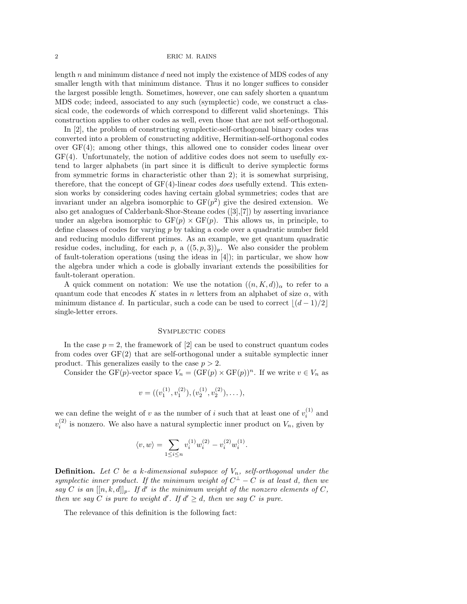2 ERIC M. RAINS

length  $n$  and minimum distance  $d$  need not imply the existence of MDS codes of any smaller length with that minimum distance. Thus it no longer suffices to consider the largest possible length. Sometimes, however, one can safely shorten a quantum MDS code; indeed, associated to any such (symplectic) code, we construct a classical code, the codewords of which correspond to different valid shortenings. This construction applies to other codes as well, even those that are not self-orthogonal.

In [2], the problem of constructing symplectic-self-orthogonal binary codes was converted into a problem of constructing additive, Hermitian-self-orthogonal codes over GF(4); among other things, this allowed one to consider codes linear over GF(4). Unfortunately, the notion of additive codes does not seem to usefully extend to larger alphabets (in part since it is difficult to derive symplectic forms from symmetric forms in characteristic other than 2); it is somewhat surprising, therefore, that the concept of  $GF(4)$ -linear codes does usefully extend. This extension works by considering codes having certain global symmetries; codes that are invariant under an algebra isomorphic to  $GF(p^2)$  give the desired extension. We also get analogues of Calderbank-Shor-Steane codes ([3],[7]) by asserting invariance under an algebra isomorphic to  $GF(p) \times GF(p)$ . This allows us, in principle, to define classes of codes for varying p by taking a code over a quadratic number field and reducing modulo different primes. As an example, we get quantum quadratic residue codes, including, for each p, a  $((5, p, 3))_p$ . We also consider the problem of fault-toleration operations (using the ideas in [4]); in particular, we show how the algebra under which a code is globally invariant extends the possibilities for fault-tolerant operation.

A quick comment on notation: We use the notation  $((n, K, d))_{\alpha}$  to refer to a quantum code that encodes K states in n letters from an alphabet of size  $\alpha$ , with minimum distance d. In particular, such a code can be used to correct  $\lfloor (d-1)/2 \rfloor$ single-letter errors.

## Symplectic codes

In the case  $p = 2$ , the framework of [2] can be used to construct quantum codes from codes over GF(2) that are self-orthogonal under a suitable symplectic inner product. This generalizes easily to the case  $p > 2$ .

Consider the GF(p)-vector space  $V_n = (\text{GF}(p) \times \text{GF}(p))^n$ . If we write  $v \in V_n$  as

$$
v = ((v_1^{(1)}, v_1^{(2)}), (v_2^{(1)}, v_2^{(2)}), \dots),
$$

we can define the weight of v as the number of i such that at least one of  $v_i^{(1)}$  and  $v_i^{(2)}$  is nonzero. We also have a natural symplectic inner product on  $V_n$ , given by

$$
\langle v, w \rangle = \sum_{1 \le i \le n} v_i^{(1)} w_i^{(2)} - v_i^{(2)} w_i^{(1)}.
$$

**Definition.** Let C be a k-dimensional subspace of  $V_n$ , self-orthogonal under the symplectic inner product. If the minimum weight of  $C^{\perp} - C$  is at least d, then we say C is an  $[[n, k, d]]_p$ . If d' is the minimum weight of the nonzero elements of C, then we say C is pure to weight  $d'$ . If  $d' \geq d$ , then we say C is pure.

The relevance of this definition is the following fact: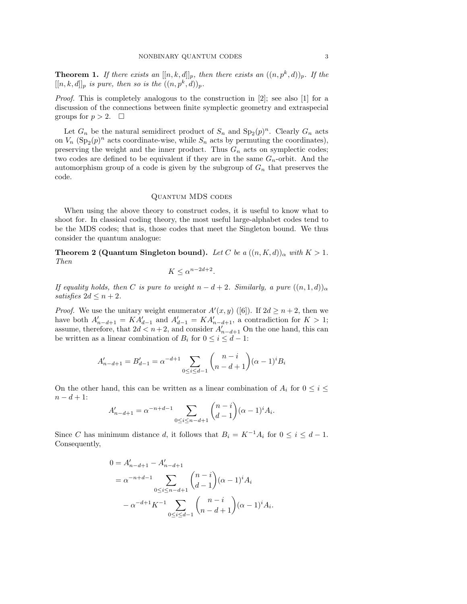**Theorem 1.** If there exists an  $[[n, k, d]]_p$ , then there exists an  $((n, p^k, d))_p$ . If the  $[[n, k, d]]_p$  is pure, then so is the  $((n, p<sup>k</sup>, d))_p$ .

Proof. This is completely analogous to the construction in [2]; see also [1] for a discussion of the connections between finite symplectic geometry and extraspecial groups for  $p > 2$ .  $\Box$ 

Let  $G_n$  be the natural semidirect product of  $S_n$  and  $\text{Sp}_2(p)^n$ . Clearly  $G_n$  acts on  $V_n$  (Sp<sub>2</sub> $(p)^n$  acts coordinate-wise, while  $S_n$  acts by permuting the coordinates), preserving the weight and the inner product. Thus  $G_n$  acts on symplectic codes; two codes are defined to be equivalent if they are in the same  $G_n$ -orbit. And the automorphism group of a code is given by the subgroup of  $G_n$  that preserves the code.

# Quantum MDS codes

When using the above theory to construct codes, it is useful to know what to shoot for. In classical coding theory, the most useful large-alphabet codes tend to be the MDS codes; that is, those codes that meet the Singleton bound. We thus consider the quantum analogue:

**Theorem 2 (Quantum Singleton bound).** Let C be a  $((n, K, d))_{\alpha}$  with  $K > 1$ . Then

$$
K \leq \alpha^{n-2d+2}.
$$

If equality holds, then C is pure to weight  $n-d+2$ . Similarly, a pure  $((n,1,d))_{\alpha}$ satisfies  $2d \leq n+2$ .

*Proof.* We use the unitary weight enumerator  $A'(x, y)$  ([6]). If  $2d \ge n+2$ , then we have both  $A'_{n-d+1} = KA'_{d-1}$  and  $A'_{d-1} = KA'_{n-d+1}$ , a contradiction for  $K > 1$ ; assume, therefore, that  $2d \leq n+2$ , and consider  $A'_{n-d+1}$  On the one hand, this can be written as a linear combination of  $B_i$  for  $0 \leq i \leq d-1$ :

$$
A'_{n-d+1} = B'_{d-1} = \alpha^{-d+1} \sum_{0 \le i \le d-1} {n-i \choose n-d+1} (\alpha-1)^i B_i
$$

On the other hand, this can be written as a linear combination of  $A_i$  for  $0 \leq i \leq$  $n - d + 1$ :

$$
A'_{n-d+1} = \alpha^{-n+d-1} \sum_{0 \le i \le n-d+1} {n-i \choose d-1} (\alpha-1)^i A_i.
$$

Since C has minimum distance d, it follows that  $B_i = K^{-1}A_i$  for  $0 \le i \le d - 1$ . Consequently,

$$
0 = A'_{n-d+1} - A'_{n-d+1}
$$
  
=  $\alpha^{-n+d-1}$ 
$$
\sum_{0 \le i \le n-d+1} {n-i \choose d-1} (\alpha - 1)^i A_i
$$
  
-  $\alpha^{-d+1} K^{-1}$ 
$$
\sum_{0 \le i \le d-1} {n-i \choose n-d+1} (\alpha - 1)^i A_i.
$$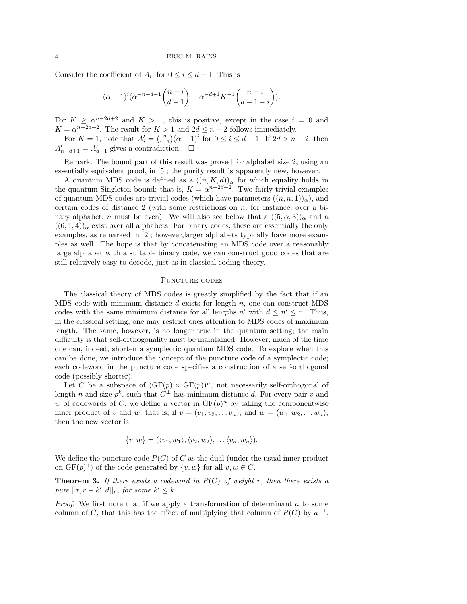Consider the coefficient of  $A_i$ , for  $0 \le i \le d-1$ . This is

$$
(\alpha - 1)^{i}(\alpha^{-n+d-1}\binom{n-i}{d-1} - \alpha^{-d+1}K^{-1}\binom{n-i}{d-1-i}).
$$

For  $K \ge \alpha^{n-2d+2}$  and  $K > 1$ , this is positive, except in the case  $i = 0$  and  $K = \alpha^{n-2d+2}$ . The result for  $K > 1$  and  $2d \leq n+2$  follows immediately.

For  $K = 1$ , note that  $A'_i = {n \choose i-1} (\alpha - 1)^i$  for  $0 \le i \le d - 1$ . If  $2d > n + 2$ , then  $A'_{n-d+1} = A'_{d-1}$  gives a contradiction.  $\square$ 

Remark. The bound part of this result was proved for alphabet size 2, using an essentially equivalent proof, in [5]; the purity result is apparently new, however.

A quantum MDS code is defined as a  $((n, K, d))_{\alpha}$  for which equality holds in the quantum Singleton bound; that is,  $K = \alpha^{n-2d+2}$ . Two fairly trivial examples of quantum MDS codes are trivial codes (which have parameters  $((n, n, 1))_{\alpha}$ ), and certain codes of distance 2 (with some restrictions on n; for instance, over a binary alphabet, n must be even). We will also see below that a  $((5, \alpha, 3))_{\alpha}$  and a  $((6,1,4))_{\alpha}$  exist over all alphabets. For binary codes, these are essentially the only examples, as remarked in [2]; however,larger alphabets typically have more examples as well. The hope is that by concatenating an MDS code over a reasonably large alphabet with a suitable binary code, we can construct good codes that are still relatively easy to decode, just as in classical coding theory.

# PUNCTURE CODES

The classical theory of MDS codes is greatly simplified by the fact that if an MDS code with minimum distance  $d$  exists for length  $n$ , one can construct MDS codes with the same minimum distance for all lengths  $n'$  with  $d \leq n' \leq n$ . Thus, in the classical setting, one may restrict ones attention to MDS codes of maximum length. The same, however, is no longer true in the quantum setting; the main difficulty is that self-orthogonality must be maintained. However, much of the time one can, indeed, shorten a symplectic quantum MDS code. To explore when this can be done, we introduce the concept of the puncture code of a symplectic code; each codeword in the puncture code specifies a construction of a self-orthogonal code (possibly shorter).

Let C be a subspace of  $(GF(p) \times GF(p))^n$ , not necessarily self-orthogonal of length n and size  $p^k$ , such that  $C^{\perp}$  has minimum distance d. For every pair v and w of codewords of C, we define a vector in  $GF(p)^n$  by taking the componentwise inner product of v and w; that is, if  $v = (v_1, v_2, \ldots v_n)$ , and  $w = (w_1, w_2, \ldots w_n)$ , then the new vector is

$$
\{v, w\} = (\langle v_1, w_1 \rangle, \langle v_2, w_2 \rangle, \ldots \langle v_n, w_n \rangle).
$$

We define the puncture code  $P(C)$  of C as the dual (under the usual inner product on  $GF(p)^n$ ) of the code generated by  $\{v, w\}$  for all  $v, w \in C$ .

**Theorem 3.** If there exists a codeword in  $P(C)$  of weight r, then there exists a pure  $[[r, r - k', d]]_p$ , for some  $k' \leq k$ .

*Proof.* We first note that if we apply a transformation of determinant  $a$  to some column of C, that this has the effect of multiplying that column of  $P(C)$  by  $a^{-1}$ .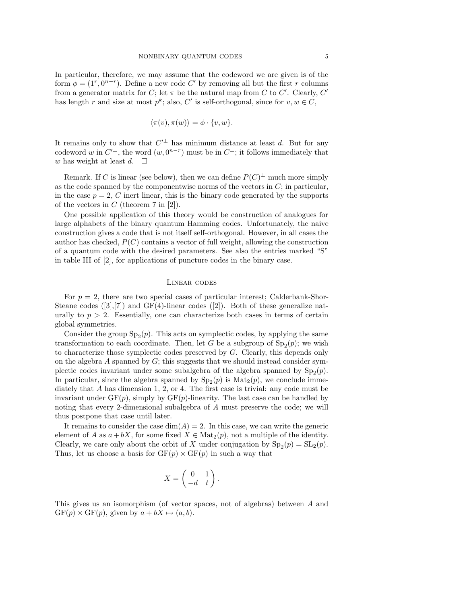In particular, therefore, we may assume that the codeword we are given is of the form  $\phi = (1^r, 0^{n-r})$ . Define a new code C' by removing all but the first r columns from a generator matrix for C; let  $\pi$  be the natural map from C to C'. Clearly, C' has length r and size at most  $p^k$ ; also,  $C'$  is self-orthogonal, since for  $v, w \in C$ ,

$$
\langle \pi(v), \pi(w) \rangle = \phi \cdot \{v, w\}.
$$

It remains only to show that  $C'^{\perp}$  has minimum distance at least d. But for any codeword w in  $C'^{\perp}$ , the word  $(w, 0^{n-r})$  must be in  $C^{\perp}$ ; it follows immediately that w has weight at least  $d. \square$ 

Remark. If C is linear (see below), then we can define  $P(C)^{\perp}$  much more simply as the code spanned by the componentwise norms of the vectors in  $C$ ; in particular, in the case  $p = 2$ , C inert linear, this is the binary code generated by the supports of the vectors in  $C$  (theorem 7 in [2]).

One possible application of this theory would be construction of analogues for large alphabets of the binary quantum Hamming codes. Unfortunately, the naive construction gives a code that is not itself self-orthogonal. However, in all cases the author has checked,  $P(C)$  contains a vector of full weight, allowing the construction of a quantum code with the desired parameters. See also the entries marked "S" in table III of [2], for applications of puncture codes in the binary case.

### Linear codes

For  $p = 2$ , there are two special cases of particular interest; Calderbank-Shor-Steane codes  $([3],[7])$  and GF(4)-linear codes  $([2])$ . Both of these generalize naturally to  $p > 2$ . Essentially, one can characterize both cases in terms of certain global symmetries.

Consider the group  $Sp_2(p)$ . This acts on symplectic codes, by applying the same transformation to each coordinate. Then, let G be a subgroup of  $\text{Sp}_2(p)$ ; we wish to characterize those symplectic codes preserved by G. Clearly, this depends only on the algebra  $A$  spanned by  $G$ ; this suggests that we should instead consider symplectic codes invariant under some subalgebra of the algebra spanned by  $Sp_2(p)$ . In particular, since the algebra spanned by  $Sp_2(p)$  is  $Mat_2(p)$ , we conclude immediately that A has dimension 1, 2, or 4. The first case is trivial: any code must be invariant under  $GF(p)$ , simply by  $GF(p)$ -linearity. The last case can be handled by noting that every 2-dimensional subalgebra of A must preserve the code; we will thus postpone that case until later.

It remains to consider the case  $\dim(A) = 2$ . In this case, we can write the generic element of A as  $a + bX$ , for some fixed  $X \in Mat_2(p)$ , not a multiple of the identity. Clearly, we care only about the orbit of X under conjugation by  $\text{Sp}_2(p) = \text{SL}_2(p)$ . Thus, let us choose a basis for  $GF(p) \times GF(p)$  in such a way that

$$
X = \begin{pmatrix} 0 & 1 \\ -d & t \end{pmatrix}.
$$

This gives us an isomorphism (of vector spaces, not of algebras) between A and  $GF(p) \times GF(p)$ , given by  $a + bX \mapsto (a, b)$ .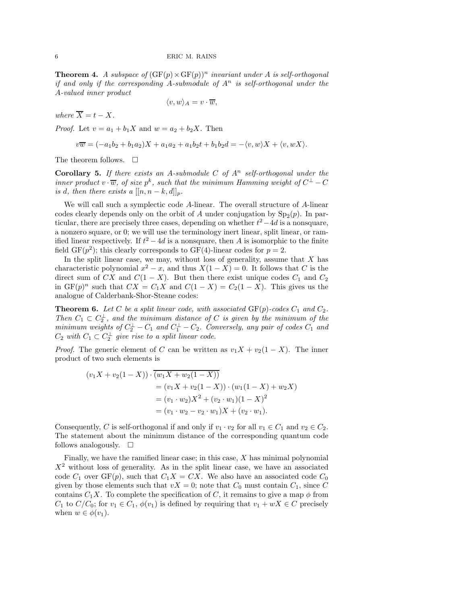**Theorem 4.** A subspace of  $(GF(p) \times GF(p))^n$  invariant under A is self-orthogonal if and only if the corresponding A-submodule of  $A<sup>n</sup>$  is self-orthogonal under the A-valued inner product

$$
\langle v, w \rangle_A = v \cdot \overline{w},
$$

where  $\overline{X} = t - X$ .

*Proof.* Let  $v = a_1 + b_1 X$  and  $w = a_2 + b_2 X$ . Then

$$
v\overline{w} = (-a_1b_2 + b_1a_2)X + a_1a_2 + a_1b_2t + b_1b_2d = -\langle v, w \rangle X + \langle v, wX \rangle.
$$

The theorem follows.  $\quad \Box$ 

**Corollary 5.** If there exists an A-submodule C of  $A<sup>n</sup>$  self-orthogonal under the inner product  $v \cdot \overline{w}$ , of size  $p^k$ , such that the minimum Hamming weight of  $C^{\perp} - C$ is d, then there exists a  $[[n, n-k, d]]_p$ .

We will call such a symplectic code A-linear. The overall structure of A-linear codes clearly depends only on the orbit of A under conjugation by  $Sp_2(p)$ . In particular, there are precisely three cases, depending on whether  $t^2 - 4d$  is a nonsquare, a nonzero square, or 0; we will use the terminology inert linear, split linear, or ramified linear respectively. If  $t^2 - 4d$  is a nonsquare, then A is isomorphic to the finite field  $GF(p^2)$ ; this clearly corresponds to  $GF(4)$ -linear codes for  $p = 2$ .

In the split linear case, we may, without loss of generality, assume that  $X$  has characteristic polynomial  $x^2 - x$ , and thus  $X(1 - X) = 0$ . It follows that C is the direct sum of CX and  $C(1 - X)$ . But then there exist unique codes  $C_1$  and  $C_2$ in  $GF(p)^n$  such that  $CX = C_1X$  and  $C(1 - X) = C_2(1 - X)$ . This gives us the analogue of Calderbank-Shor-Steane codes:

**Theorem 6.** Let C be a split linear code, with associated  $GF(p)$ -codes  $C_1$  and  $C_2$ . Then  $C_1 \subset C_2^{\perp}$ , and the minimum distance of C is given by the minimum of the minimum weights of  $C_2^{\perp} - C_1$  and  $C_1^{\perp} - C_2$ . Conversely, any pair of codes  $C_1$  and  $C_2$  with  $C_1 \subset C_2^{\perp}$  give rise to a split linear code.

*Proof.* The generic element of C can be written as  $v_1X + v_2(1-X)$ . The inner product of two such elements is

$$
(v_1X + v_2(1 - X)) \cdot \overline{(w_1X + w_2(1 - X))}
$$
  
=  $(v_1X + v_2(1 - X)) \cdot (w_1(1 - X) + w_2X)$   
=  $(v_1 \cdot w_2)X^2 + (v_2 \cdot w_1)(1 - X)^2$   
=  $(v_1 \cdot w_2 - v_2 \cdot w_1)X + (v_2 \cdot w_1).$ 

Consequently, C is self-orthogonal if and only if  $v_1 \cdot v_2$  for all  $v_1 \in C_1$  and  $v_2 \in C_2$ . The statement about the minimum distance of the corresponding quantum code follows analogously.  $\square$ 

Finally, we have the ramified linear case; in this case, X has minimal polynomial  $X<sup>2</sup>$  without loss of generality. As in the split linear case, we have an associated code  $C_1$  over  $GF(p)$ , such that  $C_1X = CX$ . We also have an associated code  $C_0$ given by those elements such that  $vX = 0$ ; note that  $C_0$  must contain  $C_1$ , since C contains  $C_1X$ . To complete the specification of C, it remains to give a map  $\phi$  from  $C_1$  to  $C/C_0$ ; for  $v_1 \in C_1$ ,  $\phi(v_1)$  is defined by requiring that  $v_1 + wX \in C$  precisely when  $w \in \phi(v_1)$ .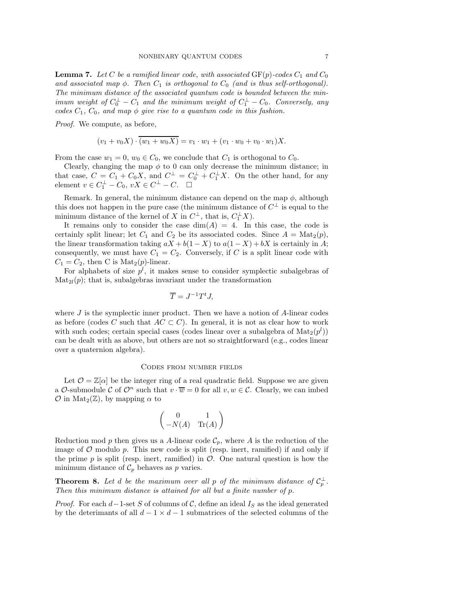**Lemma 7.** Let C be a ramified linear code, with associated  $GF(p)$ -codes  $C_1$  and  $C_0$ and associated map  $\phi$ . Then  $C_1$  is orthogonal to  $C_0$  (and is thus self-orthogonal). The minimum distance of the associated quantum code is bounded between the minimum weight of  $C_0^{\perp} - C_1$  and the minimum weight of  $C_1^{\perp} - C_0$ . Conversely, any codes  $C_1$ ,  $C_0$ , and map  $\phi$  give rise to a quantum code in this fashion.

Proof. We compute, as before,

$$
(v_1 + v_0 X) \cdot \overline{(w_1 + w_0 X)} = v_1 \cdot w_1 + (v_1 \cdot w_0 + v_0 \cdot w_1)X.
$$

From the case  $w_1 = 0$ ,  $w_0 \in C_0$ , we conclude that  $C_1$  is orthogonal to  $C_0$ .

Clearly, changing the map  $\phi$  to 0 can only decrease the minimum distance; in that case,  $C = C_1 + C_0 X$ , and  $C^{\perp} = C_0^{\perp} + C_1^{\perp} X$ . On the other hand, for any element  $v \in C_1^{\perp} - C_0$ ,  $vX \in C^{\perp} - C$ .  $\Box$ 

Remark. In general, the minimum distance can depend on the map  $\phi$ , although this does not happen in the pure case (the minimum distance of  $C^{\perp}$  is equal to the minimum distance of the kernel of X in  $C^{\perp}$ , that is,  $C_1^{\perp}X$ ).

It remains only to consider the case  $dim(A) = 4$ . In this case, the code is certainly split linear; let  $C_1$  and  $C_2$  be its associated codes. Since  $A = Mat_2(p)$ , the linear transformation taking  $aX + b(1 - X)$  to  $a(1 - X) + bX$  is certainly in A; consequently, we must have  $C_1 = C_2$ . Conversely, if C is a split linear code with  $C_1 = C_2$ , then C is Mat<sub>2</sub> $(p)$ -linear.

For alphabets of size  $p^{l}$ , it makes sense to consider symplectic subalgebras of  $\text{Mat}_{2l}(p)$ ; that is, subalgebras invariant under the transformation

$$
\overline{T} = J^{-1}T^tJ,
$$

where  $J$  is the symplectic inner product. Then we have a notion of  $A$ -linear codes as before (codes C such that  $AC \subset C$ ). In general, it is not as clear how to work with such codes; certain special cases (codes linear over a subalgebra of  $\text{Mat}_2(p^l)$ ) can be dealt with as above, but others are not so straightforward (e.g., codes linear over a quaternion algebra).

## Codes from number fields

Let  $\mathcal{O} = \mathbb{Z}[\alpha]$  be the integer ring of a real quadratic field. Suppose we are given a O-submodule C of  $\mathcal{O}^n$  such that  $v \cdot \overline{w} = 0$  for all  $v, w \in \mathcal{C}$ . Clearly, we can imbed  $\mathcal O$  in Mat<sub>2</sub>( $\mathbb Z$ ), by mapping  $\alpha$  to

$$
\begin{pmatrix} 0 & 1 \\ -N(A) & \text{Tr}(A) \end{pmatrix}
$$

Reduction mod p then gives us a A-linear code  $\mathcal{C}_p$ , where A is the reduction of the image of  $\mathcal O$  modulo  $p$ . This new code is split (resp. inert, ramified) if and only if the prime p is split (resp. inert, ramified) in  $\mathcal O$ . One natural question is how the minimum distance of  $\mathcal{C}_p$  behaves as p varies.

**Theorem 8.** Let d be the maximum over all p of the minimum distance of  $C_p^{\perp}$ . Then this minimum distance is attained for all but a finite number of p.

*Proof.* For each  $d-1$ -set S of columns of C, define an ideal  $I_S$  as the ideal generated by the deterimants of all  $d-1 \times d-1$  submatrices of the selected columns of the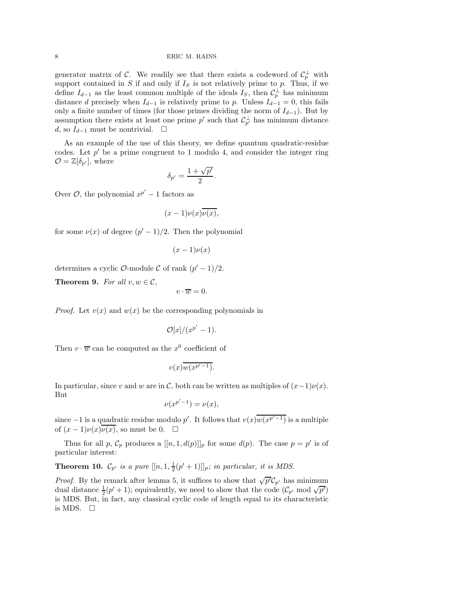#### 8 ERIC M. RAINS

generator matrix of C. We readily see that there exists a codeword of  $C_p^{\perp}$  with support contained in S if and only if  $I<sub>S</sub>$  is not relatively prime to p. Thus, if we define  $I_{d-1}$  as the least common multiple of the ideals  $I_S$ , then  $\mathcal{C}_p^{\perp}$  has minimum distance d precisely when  $I_{d-1}$  is relatively prime to p. Unless  $I_{d-1} = 0$ , this fails only a finite number of times (for those primes dividing the norm of  $I_{d-1}$ ). But by assumption there exists at least one prime  $p'$  such that  $\mathcal{C}_{p'}^{\perp}$  has minimum distance d, so  $I_{d-1}$  must be nontrivial.  $□$ 

As an example of the use of this theory, we define quantum quadratic-residue codes. Let  $p'$  be a prime congruent to 1 modulo 4, and consider the integer ring  $\mathcal{O} = \mathbb{Z}[\delta_{p'}],$  where

$$
\delta_{p'} = \frac{1 + \sqrt{p'}}{2}.
$$

Over  $\mathcal{O}$ , the polynomial  $x^{p'} - 1$  factors as

$$
(x-1)\nu(x)\overline{\nu(x)},
$$

for some  $\nu(x)$  of degree  $(p' - 1)/2$ . Then the polynomial

$$
(x-1)\nu(x)
$$

determines a cyclic  $\mathcal{O}$ -module  $\mathcal C$  of rank  $(p'-1)/2$ .

**Theorem 9.** For all  $v, w \in \mathcal{C}$ ,

$$
v\cdot \overline{w}=0.
$$

*Proof.* Let  $v(x)$  and  $w(x)$  be the corresponding polynomials in

$$
\mathcal{O}[x]/(x^{p'}-1).
$$

Then  $v \cdot \overline{w}$  can be computed as the  $x^0$  coefficient of

$$
v(x)\overline{w(x^{p'-1})}.
$$

In particular, since v and w are in C, both can be written as multiples of  $(x-1)\nu(x)$ . But

$$
\nu(x^{p'-1}) = \nu(x),
$$

since  $-1$  is a quadratic residue modulo p'. It follows that  $v(x)\overline{w(x^{p'-1})}$  is a multiple of  $(x-1)\nu(x)\nu(x)$ , so must be 0.  $\square$ 

Thus for all p,  $\mathcal{C}_p$  produces a  $[[n, 1, d(p)]]_p$  for some  $d(p)$ . The case  $p = p'$  is of particular interest:

**Theorem 10.**  $\mathcal{C}_{p'}$  is a pure  $[[n, 1, \frac{1}{2}(p'+1)]]_p$ ; in particular, it is MDS.

*Proof.* By the remark after lemma 5, it suffices to show that  $\sqrt{p'}\mathcal{C}_{p'}$  has minimum dual distance  $\frac{1}{2}(p'+1)$ ; equivalently, we need to show that the code  $(\mathcal{C}_{p'} \mod \sqrt{p'})$ is MDS. But, in fact, any classical cyclic code of length equal to its characteristic is MDS.  $\square$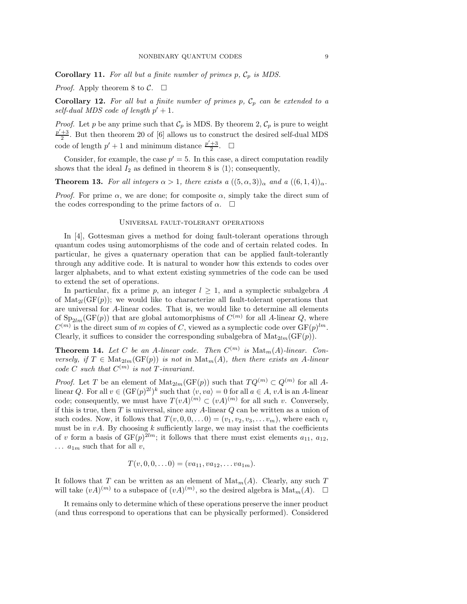**Corollary 11.** For all but a finite number of primes  $p$ ,  $C_p$  is MDS.

*Proof.* Apply theorem 8 to  $C$ .  $\Box$ 

**Corollary 12.** For all but a finite number of primes p,  $C_p$  can be extended to a self-dual MDS code of length  $p' + 1$ .

*Proof.* Let p be any prime such that  $\mathcal{C}_p$  is MDS. By theorem 2,  $\mathcal{C}_p$  is pure to weight  $\frac{p'+3}{2}$ . But then theorem 20 of [6] allows us to construct the desired self-dual MDS code of length  $p' + 1$  and minimum distance  $\frac{p' + 3}{2}$ .  $\Box$ 

Consider, for example, the case  $p' = 5$ . In this case, a direct computation readily shows that the ideal  $I_2$  as defined in theorem 8 is  $\langle 1 \rangle$ ; consequently,

**Theorem 13.** For all integers  $\alpha > 1$ , there exists a  $((5, \alpha, 3))_{\alpha}$  and a  $((6, 1, 4))_{\alpha}$ .

*Proof.* For prime  $\alpha$ , we are done; for composite  $\alpha$ , simply take the direct sum of the codes corresponding to the prime factors of  $\alpha$ .  $\Box$ 

## Universal fault-tolerant operations

In [4], Gottesman gives a method for doing fault-tolerant operations through quantum codes using automorphisms of the code and of certain related codes. In particular, he gives a quaternary operation that can be applied fault-tolerantly through any additive code. It is natural to wonder how this extends to codes over larger alphabets, and to what extent existing symmetries of the code can be used to extend the set of operations.

In particular, fix a prime p, an integer  $l \geq 1$ , and a symplectic subalgebra A of  $\text{Mat}_{2l}(GF(p))$ ; we would like to characterize all fault-tolerant operations that are universal for A-linear codes. That is, we would like to determine all elements of  $Sp_{2lm}(GF(p))$  that are global automorphisms of  $C^{(m)}$  for all A-linear Q, where  $C^{(m)}$  is the direct sum of m copies of C, viewed as a symplectic code over  $GF(p)^{lm}$ . Clearly, it suffices to consider the corresponding subalgebra of  $\text{Mat}_{2lm}(\text{GF}(p)).$ 

**Theorem 14.** Let C be an A-linear code. Then  $C^{(m)}$  is  $\text{Mat}_m(A)$ -linear. Conversely, if  $T \in Mat_{2lm}(GF(p))$  is not in  $Mat_m(A)$ , then there exists an A-linear code C such that  $C^{(m)}$  is not T-invariant.

*Proof.* Let T be an element of  $\text{Mat}_{2lm}(\text{GF}(p))$  such that  $TQ^{(m)} \subset Q^{(m)}$  for all Alinear Q. For all  $v \in (\mathrm{GF}(p)^{2l})^k$  such that  $\langle v, va \rangle = 0$  for all  $a \in A$ ,  $vA$  is an A-linear code; consequently, we must have  $T(vA)^{(m)} \subset (vA)^{(m)}$  for all such v. Conversely, if this is true, then  $T$  is universal, since any  $A$ -linear  $Q$  can be written as a union of such codes. Now, it follows that  $T(v, 0, 0, \ldots 0) = (v_1, v_2, v_3, \ldots v_m)$ , where each  $v_i$ must be in  $vA$ . By choosing k sufficiently large, we may insist that the coefficients of v form a basis of  $GF(p)^{2lm}$ ; it follows that there must exist elements  $a_{11}$ ,  $a_{12}$ ,  $\ldots$   $a_{1m}$  such that for all v,

$$
T(v,0,0,\ldots 0)=(va_{11},va_{12},\ldots va_{1m}).
$$

It follows that T can be written as an element of  $\text{Mat}_m(A)$ . Clearly, any such T will take  $(vA)^{(m)}$  to a subspace of  $(vA)^{(m)}$ , so the desired algebra is  $\text{Mat}_{m}(A)$ .  $\Box$ 

It remains only to determine which of these operations preserve the inner product (and thus correspond to operations that can be physically performed). Considered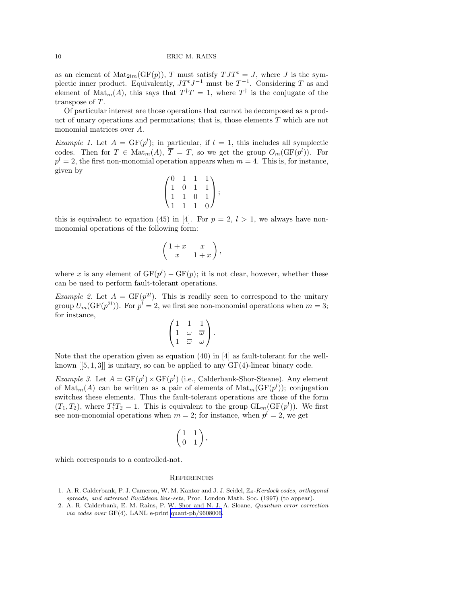as an element of  $\text{Mat}_{2lm}(\text{GF}(p)), T$  must satisfy  $TJT^t = J$ , where J is the symplectic inner product. Equivalently,  $J T^t J^{-1}$  must be  $T^{-1}$ . Considering T as and element of  $\text{Mat}_m(A)$ , this says that  $T^{\dagger}T = 1$ , where  $T^{\dagger}$  is the conjugate of the transpose of  $T$ .

Of particular interest are those operations that cannot be decomposed as a product of unary operations and permutations; that is, those elements T which are not monomial matrices over A.

*Example 1.* Let  $A = GF(p^l)$ ; in particular, if  $l = 1$ , this includes all symplectic codes. Then for  $T \in Mat_m(A)$ ,  $\overline{T} = T$ , so we get the group  $O_m(\text{GF}(p^l))$ . For  $p^l = 2$ , the first non-monomial operation appears when  $m = 4$ . This is, for instance, given by

$$
\begin{pmatrix} 0 & 1 & 1 & 1 \\ 1 & 0 & 1 & 1 \\ 1 & 1 & 0 & 1 \\ 1 & 1 & 1 & 0 \end{pmatrix};
$$

this is equivalent to equation (45) in [4]. For  $p = 2$ ,  $l > 1$ , we always have nonmonomial operations of the following form:

$$
\left(\begin{array}{cc} 1+x & x \\ x & 1+x \end{array}\right),
$$

where x is any element of  $GF(p^{l}) - GF(p)$ ; it is not clear, however, whether these can be used to perform fault-tolerant operations.

*Example 2.* Let  $A = GF(p^{2l})$ . This is readily seen to correspond to the unitary group  $U_m(\mathrm{GF}(p^{2l}))$ . For  $p^l = 2$ , we first see non-monomial operations when  $m = 3$ ; for instance,

$$
\begin{pmatrix}\n1 & 1 & 1 \\
1 & \omega & \overline{\omega} \\
1 & \overline{\omega} & \omega\n\end{pmatrix}.
$$

Note that the operation given as equation (40) in [4] as fault-tolerant for the wellknown  $[[5, 1, 3]]$  is unitary, so can be applied to any  $GF(4)$ -linear binary code.

*Example 3.* Let  $A = \text{GF}(p^l) \times \text{GF}(p^l)$  (i.e., Calderbank-Shor-Steane). Any element of  $\text{Mat}_m(A)$  can be written as a pair of elements of  $\text{Mat}_m(\text{GF}(p^l))$ ; conjugation switches these elements. Thus the fault-tolerant operations are those of the form  $(T_1, T_2)$ , where  $T_1^t T_2 = 1$ . This is equivalent to the group  $GL_m(\mathrm{GF}(p^l))$ . We first see non-monomial operations when  $m = 2$ ; for instance, when  $p^l = 2$ , we get

$$
\left(\begin{matrix}1&1\\0&1\end{matrix}\right),
$$

which corresponds to a controlled-not.

#### **REFERENCES**

- 1. A. R. Calderbank, P. J. Cameron, W. M. Kantor and J. J. Seidel,  $\mathbb{Z}_4$ -Kerdock codes, orthogonal spreads, and extremal Euclidean line-sets, Proc. London Math. Soc. (1997) (to appear).
- 2. A. R. Calderbank, E. M. Rains, P. W. Shor and N. J. A. Sloane, Quantum error correction via codes over GF(4), LANL e-print [quant-ph/9608006.](http://arXiv.org/abs/quant-ph/9608006)